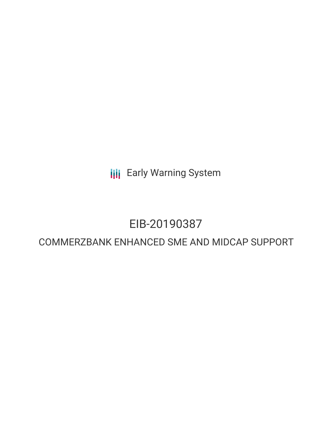**III** Early Warning System

# EIB-20190387

# COMMERZBANK ENHANCED SME AND MIDCAP SUPPORT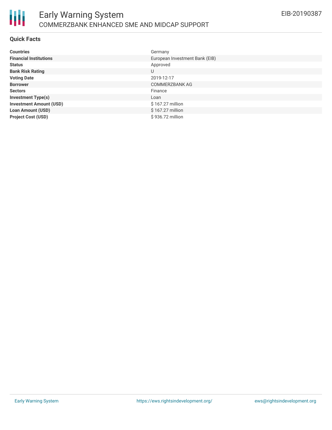

#### **Quick Facts**

| <b>Countries</b>               | Germany                        |
|--------------------------------|--------------------------------|
| <b>Financial Institutions</b>  | European Investment Bank (EIB) |
| <b>Status</b>                  | Approved                       |
| <b>Bank Risk Rating</b>        | U                              |
| <b>Voting Date</b>             | 2019-12-17                     |
| <b>Borrower</b>                | <b>COMMERZBANK AG</b>          |
| <b>Sectors</b>                 | Finance                        |
| <b>Investment Type(s)</b>      | Loan                           |
| <b>Investment Amount (USD)</b> | \$167.27 million               |
| <b>Loan Amount (USD)</b>       | \$167.27 million               |
| <b>Project Cost (USD)</b>      | \$936.72 million               |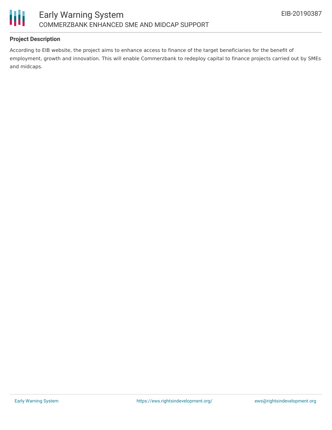



# **Project Description**

According to EIB website, the project aims to enhance access to finance of the target beneficiaries for the benefit of employment, growth and innovation. This will enable Commerzbank to redeploy capital to finance projects carried out by SMEs and midcaps.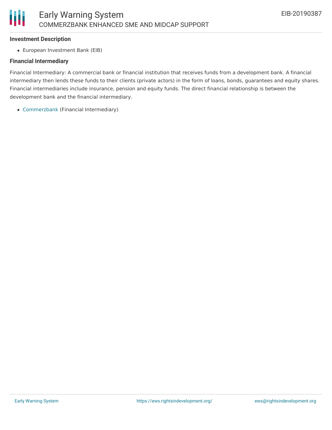#### **Investment Description**

Ш

European Investment Bank (EIB)

### **Financial Intermediary**

Financial Intermediary: A commercial bank or financial institution that receives funds from a development bank. A financial intermediary then lends these funds to their clients (private actors) in the form of loans, bonds, guarantees and equity shares. Financial intermediaries include insurance, pension and equity funds. The direct financial relationship is between the development bank and the financial intermediary.

[Commerzbank](file:///actor/2647/) (Financial Intermediary)